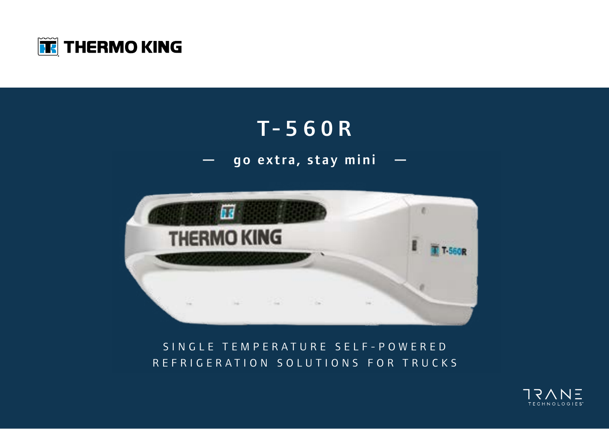

### T-560R

### — go extra, stay mini —



#### SINGLE TEMPERATURE SELF-POWERED REFRIGERATION SOLUTIONS FOR TRUCKS

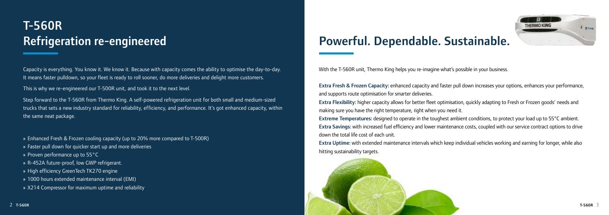



Capacity is everything. You know it. We know it. Because with capacity comes the ability to optimise the day-to-day. It means faster pulldown, so your fleet is ready to roll sooner, do more deliveries and delight more customers.

This is why we re-engineered our T-500R unit, and took it to the next level.

Step forward to the T-560R from Thermo King. A self-powered refrigeration unit for both small and medium-sized trucks that sets a new industry standard for reliability, efficiency, and performance. It's got enhanced capacity, within the same neat package.

» Enhanced Fresh & Frozen cooling capacity (up to 20% more compared to T-500R)

- » Faster pull down for quicker start up and more deliveries
- » Proven performance up to 55°C
- » R-452A future-proof, low GWP refrigerant.
- » High efficiency GreenTech TK270 engine
- » 1000 hours extended maintenance interval (EMI)
- » X214 Compressor for maximum uptime and reliability

## Refrigeration re-engineered **Powerful. Dependable. Sustainable.**

With the T-560R unit, Thermo King helps you re-imagine what's possible in your business.

Extra Fresh & Frozen Capacity: enhanced capacity and faster pull down increases your options, enhances your performance, and supports route optimisation for smarter deliveries. Extra Flexibility: higher capacity allows for better fleet optimisation, quickly adapting to Fresh or Frozen goods' needs and making sure you have the right temperature, right when you need it. Extreme Temperatures: designed to operate in the toughest ambient conditions, to protect your load up to 55°C ambient. Extra Savings: with increased fuel efficiency and lower maintenance costs, coupled with our service contract options to drive down the total life cost of each unit.

Extra Uptime: with extended maintenance intervals which keep individual vehicles working and earning for longer, while also hitting sustainability targets.

# T-560R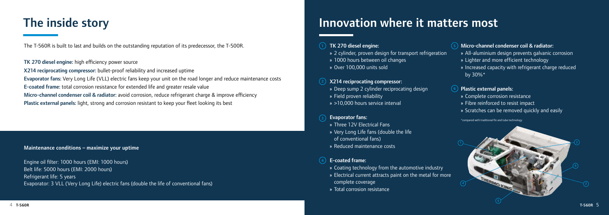**2**

\*compared with traditional fin and tube technology



The T-560R is built to last and builds on the outstanding reputation of its predecessor, the T-500R.

TK 270 diesel engine: high efficiency power source

X214 reciprocating compressor: bullet-proof reliability and increased uptime

Evaporator fans: Very Long Life (VLL) electric fans keep your unit on the road longer and reduce maintenance costs

E-coated frame: total corrosion resistance for extended life and greater resale value

**1 5** TK 270 diesel engine:

Micro-channel condenser coil & radiator: avoid corrosion, reduce refrigerant charge & improve efficiency

Plastic external panels: light, strong and corrosion resistant to keep your fleet looking its best

#### **3** Evaporator fans:

## The inside story

#### Maintenance conditions – maximize your uptime

Engine oil filter: 1000 hours (EMI: 1000 hours) Belt life: 5000 hours (EMI: 2000 hours) Refrigerant life: 5 years Evaporator: 3 VLL (Very Long Life) electric fans (double the life of conventional fans)

### Innovation where it matters most

- » 2 cylinder, proven design for transport refrigeration
- » 1000 hours between oil changes
- » Over 100,000 units sold

#### X214 reciprocating compressor:

- » Deep sump 2 cylinder reciprocating design
- » Field proven reliability
- » >10,000 hours service interval

- » Three 12V Electrical Fans
- » Very Long Life fans (double the life of conventional fans)
- » Reduced maintenance costs

#### E-coated frame:

- » Coating technology from the automotive industry
- » Electrical current attracts paint on the metal for more complete coverage
- » Total corrosion resistance

#### Micro-channel condenser coil & radiator:

- » All-aluminium design prevents galvanic corrosion
- » Lighter and more efficient technology
- » Increased capacity with refrigerant charge reduced by 30%\*

#### Plastic external panels:

- » Complete corrosion resistance
- » Fibre reinforced to resist impact
- » Scratches can be removed quickly and easily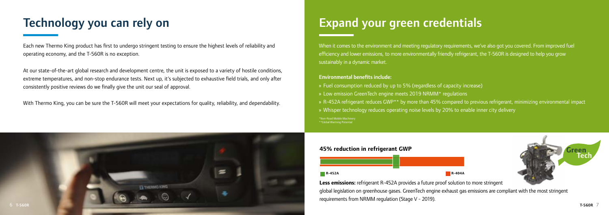

# Technology you can rely on Expand your green credentials

Each new Thermo King product has first to undergo stringent testing to ensure the highest levels of reliability and operating economy, and the T-560R is no exception.

At our state-of-the-art global research and development centre, the unit is exposed to a variety of hostile conditions, extreme temperatures, and non-stop endurance tests. Next up, it's subjected to exhaustive field trials, and only after consistently positive reviews do we finally give the unit our seal of approval.

With Thermo King, you can be sure the T-560R will meet your expectations for quality, reliability, and dependability.

\*Non-Road Mobile Machinery \*\*Global Warming Potential » Fuel consumption reduced by up to 5% (regardless of capacity increase) » Low emission GreenTech engine meets 2019 NRMM\* regulations » R-452A refrigerant reduces GWP\*\* by more than 45% compared to previous refrigerant, minimizing environmental impact » Whisper technology reduces operating noise levels by 20% to enable inner city delivery

When it comes to the environment and meeting regulatory requirements, we've also got you covered. From improved fuel efficiency and lower emissions, to more environmentally friendly refrigerant, the T-560R is designed to help you grow sustainably in a dynamic market.

**Less emissions:** refrigerant R-452A provides a future proof solution to more stringent global legislation on greenhouse gases. GreenTech engine exhaust gas emissions are compliant with the most stringent requirements from NRMM regulation (Stage V - 2019).

#### Environmental benefits include:

#### **45% reduction in refrigerant GWP**

**R-452A R-404A**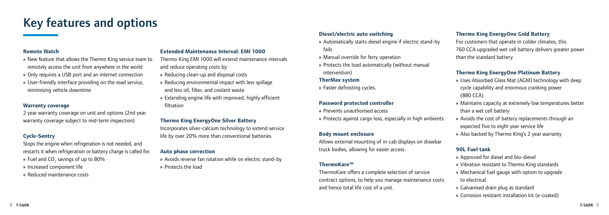## Key features and options

#### **Remote Watch**

- » New feature that allows the Thermo King service team to remotely access the unit from anywhere in the world
- » Only requires a USB port and an internet connection
- » User-friendly interface providing on the road service, minimising vehicle downtime

#### **Warranty coverage**

2 year warranty coverage on unit and options (2nd year warranty coverage subject to mid-term inspection)

#### **Cycle-Sentry**

- Stops the engine when refrigeration is not needed, and restarts it when refrigeration or battery charge is called for. » Fuel and CO<sub>2</sub> savings of up to 80%
- » Increased component life
- » Reduced maintenance costs

#### **Extended Maintenance Interval: EMI 1000**

- Thermo King EMI 1000 will extend maintenance intervals and reduce operating costs by:
- » Reducing clean-up and disposal costs
- » Reducing environmental impact with less spillage and less oil, filter, and coolant waste
- » Extending engine life with improved, highly efficient filtration

#### **Thermo King EnergyOne Silver Battery**

Incorporates silver-calcium technology to extend service life by over 20% more than conventional batteries.

#### **Auto phase correction**

» Avoids reverse fan rotation while on electric stand-by » Protects the load

#### **Diesel/electric auto switching**

- » Automatically starts diesel engine if electric stand-by fails
- » Manual override for ferry operation
- » Protects the load automatically (without manual intervention)

#### **TherMax system**

» Faster defrosting cycles.

#### **Password protected controller**

- » Prevents unauthorised access
- » Protects against cargo loss, especially in high ambients

#### **Body mount enclosure**

Allows external mounting of in-cab displays on drawbar truck bodies, allowing for easier access.

#### **ThermoKare™**

ThermoKare offers a complete selection of service contract options, to help you manage maintenance costs and hence total life cost of a unit.

#### **Thermo King EnergyOne Gold Battery**

For customers that operate in colder climates, this 760 CCA upgraded wet cell battery delivers greater power than the standard battery.

#### **Thermo King EnergyOne Platinum Battery**

- » Uses Absorbed Glass Mat (AGM) technology with deep cycle capability and enormous cranking power (880 CCA)
- » Maintains capacity at extremely low temperatures better than a wet cell battery
- » Avoids the cost of battery replacements through an
- expected five to eight year service life
- » Also backed by Thermo King's 2 year warranty

#### **90L Fuel tank**

- » Approved for diesel and bio-diesel
- » Vibration resistant to Thermo King standards
- » Mechanical fuel gauge with option to upgrade to electrical
- » Galvanised drain plug as standard
- » Corrosion resistant installation kit (e-coated)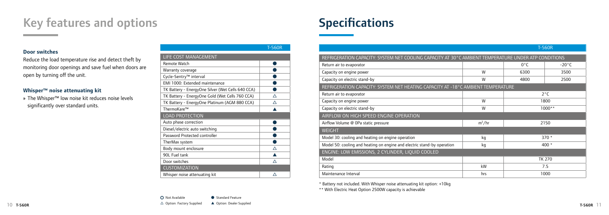## Key features and options

|                                                   | T-560R |
|---------------------------------------------------|--------|
| LIFE COST MANAGEMENT                              |        |
| Remote Watch                                      |        |
| Warranty coverage                                 |        |
| Cycle-Sentry <sup>™</sup> interval                |        |
| EMI 1000: Extended maintenance                    |        |
| TK Battery - EnergyOne Silver (Wet Cells 640 CCA) |        |
| TK Battery - EnergyOne Gold (Wet Cells 760 CCA)   | Λ      |
| TK Battery - EnergyOne Platinum (AGM 880 CCA)     | Λ      |
| ThermoKare™                                       |        |
| <b>LOAD PROTECTION</b>                            |        |
| Auto phase correction                             |        |
| Diesel/electric auto switching                    |        |
| Password Protected controller                     |        |
| TherMax system                                    |        |
| Body mount enclosure                              | ∧      |
| 90L Fuel tank                                     |        |
| Door switches                                     | Λ      |
| <b>CUSTOMIZATION</b>                              |        |
| Whisper noise attenuating kit                     |        |

#### $\triangle$  Option: Factory Supplied  $\triangle$  Option: Dealer Supplied  $\triangle$  Option: Dealer Supplied  $\triangle$  Option: Dealer Supplied  $\Box$ ○ Not Available ● Standard Feature  $\triangle$  Option: Factory Supplied  $\triangle$  Option: Dealer Supplied

# **Specifications**

#### **Door switches**

Reduce the load temperature rise and detect theft by monitoring door openings and save fuel when doors are open by turning off the unit.

#### **Whisper™ noise attenuating kit**

» The Whisper™ low noise kit reduces noise levels significantly over standard units.

#### T-560R

| REFRIGERATION CAPACITY: SYSTEM NET COOLING CAPACITY AT 30°C AMBIENT TEMPERATURE UNDER ATP CONDITIONS |               |                 |  |  |
|------------------------------------------------------------------------------------------------------|---------------|-----------------|--|--|
|                                                                                                      | $0^{\circ}$ C | $-20^{\circ}$ C |  |  |
| W                                                                                                    | 6300          | 3500            |  |  |
| W                                                                                                    | 4800          | 2500            |  |  |
| REFRIGERATION CAPACITY: SYSTEM NET HEATING CAPACITY AT -18°C AMBIENT TEMPERATURE                     |               |                 |  |  |
|                                                                                                      | $2^{\circ}$ C |                 |  |  |
| W                                                                                                    | 1800          |                 |  |  |
| W                                                                                                    | $1000**$      |                 |  |  |
|                                                                                                      |               |                 |  |  |
| $m^3/hr$                                                                                             |               | 2150            |  |  |
|                                                                                                      |               |                 |  |  |
| kg                                                                                                   |               | $370*$          |  |  |
| kg                                                                                                   | 400 $*$       |                 |  |  |
| ENGINE: LOW EMISSIONS, 2 CYLINDER, LIQUID COOLED                                                     |               |                 |  |  |
|                                                                                                      |               | <b>TK 270</b>   |  |  |
| kW                                                                                                   |               | 7.5             |  |  |
| hrs                                                                                                  |               | 1000            |  |  |
|                                                                                                      |               |                 |  |  |

\* Battery not included. With Whisper noise attenuating kit option: +10kg

\*\* With Electric Heat Option 2500W capacity is achievable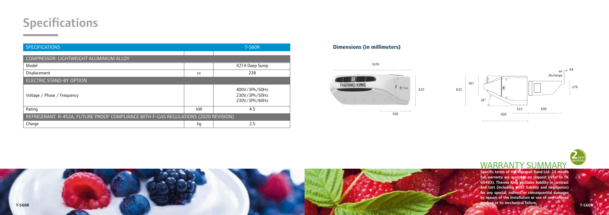

### WARRANTY SUMMARY

Specific terms of the Ingersoll Rand Ltd. 24 month full warranty are available on request (refer to TK 60483). Thermo King excludes liability in contract and tort (including strict liability and negligence) for any special, indirect or consequential damages by reason of the installation or use of any covered product or its mechanical failure.

### **Specifications**

| <b>SPECIFICATIONS</b>                                                               |    | <b>T-560R</b>                                   |  |
|-------------------------------------------------------------------------------------|----|-------------------------------------------------|--|
|                                                                                     |    |                                                 |  |
| COMPRESSOR: LIGHTWEIGHT ALUMINIUM ALLOY                                             |    |                                                 |  |
| Model                                                                               |    | X214 Deep Sump                                  |  |
| Displacement                                                                        | cc | 228                                             |  |
| <b>ELECTRIC STAND-BY OPTION</b>                                                     |    |                                                 |  |
| Voltage / Phase / Frequency                                                         |    | 400V/3Ph/50Hz<br>230V/3Ph/50Hz<br>230V/3Ph/60Hz |  |
| Rating                                                                              | kW | 4.5                                             |  |
| REFRIGERANT: R-452A, FUTURE PROOF COMPLIANCE WITH F-GAS REGULATIONS (2020 REVISION) |    |                                                 |  |
| Charge                                                                              | kg | 2.5                                             |  |





#### **Dimensions (in millimeters)**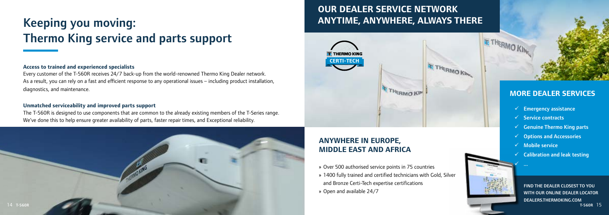

#### **Access to trained and experienced specialists**

Every customer of the T-560R receives 24/7 back-up from the world-renowned Thermo King Dealer network. As a result, you can rely on a fast and efficient response to any operational issues – including product installation, diagnostics, and maintenance.

#### **Unmatched serviceability and improved parts support**

The T-560R is designed to use components that are common to the already existing members of the T-Series range. We've done this to help ensure greater availability of parts, faster repair times, and Exceptional reliability.

# Keeping you moving: Thermo King service and parts support

### **OUR DEALER SERVICE NETWORK ANYTIME, ANYWHERE, ALWAYS THERE**

### **ANYWHERE IN EUROPE, MIDDLE EAST AND AFRICA**

» Over 500 authorised service points in 75 countries » 1400 fully trained and certified technicians with Gold, Silver and Bronze Certi-Tech expertise certifications » Open and available 24/7

FIND THE DEALER CLOSEST TO YOU WITH OUR ONLINE DEALER LOCATOR DEALERS.THERMOKING.COM

### **MORE DEALER SERVICES**

- $\checkmark$  Emergency assistance
- $\checkmark$  Service contracts
- $\checkmark$  Genuine Thermo King parts
- $\checkmark$  Options and Accessories
- $\checkmark$  Mobile service

 $\checkmark$  ...

 $\checkmark$  Calibration and leak testing